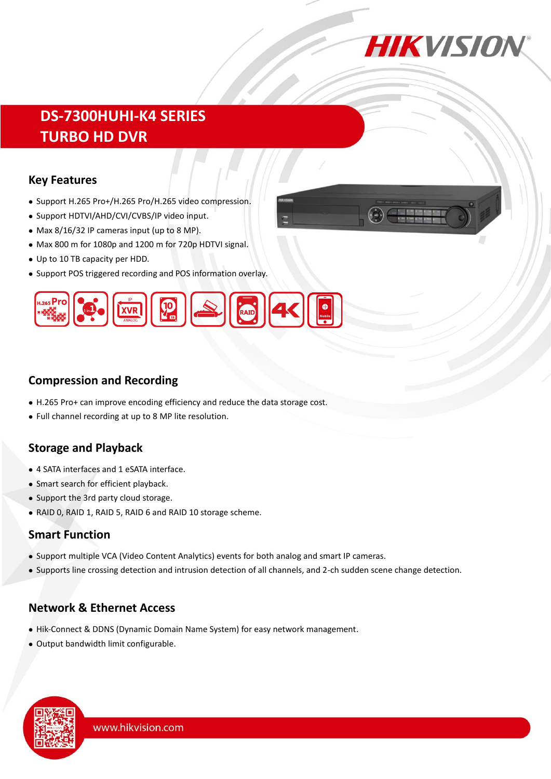

# **DS-7300HUHI-K4 SERIES TURBO HD DVR**

#### **Key Features**

- Support H.265 Pro+/H.265 Pro/H.265 video compression.
- Support HDTVI/AHD/CVI/CVBS/IP video input.
- Max 8/16/32 IP cameras input (up to 8 MP).
- Max 800 m for 1080p and 1200 m for 720p HDTVI signal.
- Up to 10 TB capacity per HDD.
- Support POS triggered recording and POS information overlay.



# **Compression and Recording**

- H.265 Pro+ can improve encoding efficiency and reduce the data storage cost.
- Full channel recording at up to 8 MP lite resolution.

# **Storage and Playback**

- 4 SATA interfaces and 1 eSATA interface.
- Smart search for efficient playback.
- Support the 3rd party cloud storage.
- RAID 0, RAID 1, RAID 5, RAID 6 and RAID 10 storage scheme.

#### **Smart Function**

- Support multiple VCA (Video Content Analytics) events for both analog and smart IP cameras.
- Supports line crossing detection and intrusion detection of all channels, and 2-ch sudden scene change detection.

# **Network & Ethernet Access**

- Hik-Connect & DDNS (Dynamic Domain Name System) for easy network management.
- Output bandwidth limit configurable.

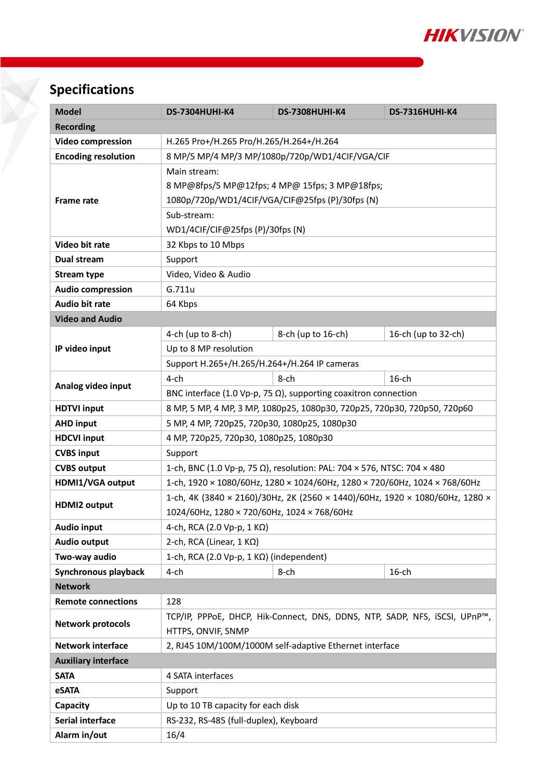

# **Specifications**

| <b>Model</b>               | <b>DS-7304HUHI-K4</b>                                                        | <b>DS-7308HUHI-K4</b>                                                      | <b>DS-7316HUHI-K4</b> |  |  |  |
|----------------------------|------------------------------------------------------------------------------|----------------------------------------------------------------------------|-----------------------|--|--|--|
| <b>Recording</b>           |                                                                              |                                                                            |                       |  |  |  |
| <b>Video compression</b>   | H.265 Pro+/H.265 Pro/H.265/H.264+/H.264                                      |                                                                            |                       |  |  |  |
| <b>Encoding resolution</b> | 8 MP/5 MP/4 MP/3 MP/1080p/720p/WD1/4CIF/VGA/CIF                              |                                                                            |                       |  |  |  |
|                            | Main stream:                                                                 |                                                                            |                       |  |  |  |
|                            | 8 MP@8fps/5 MP@12fps; 4 MP@ 15fps; 3 MP@18fps;                               |                                                                            |                       |  |  |  |
| <b>Frame rate</b>          | 1080p/720p/WD1/4CIF/VGA/CIF@25fps (P)/30fps (N)                              |                                                                            |                       |  |  |  |
|                            | Sub-stream:                                                                  |                                                                            |                       |  |  |  |
|                            | WD1/4CIF/CIF@25fps (P)/30fps (N)                                             |                                                                            |                       |  |  |  |
| Video bit rate             | 32 Kbps to 10 Mbps                                                           |                                                                            |                       |  |  |  |
| <b>Dual stream</b>         | Support                                                                      |                                                                            |                       |  |  |  |
| <b>Stream type</b>         | Video, Video & Audio                                                         |                                                                            |                       |  |  |  |
| <b>Audio compression</b>   | G.711u                                                                       |                                                                            |                       |  |  |  |
| <b>Audio bit rate</b>      | 64 Kbps                                                                      |                                                                            |                       |  |  |  |
| <b>Video and Audio</b>     |                                                                              |                                                                            |                       |  |  |  |
|                            | 4-ch (up to 8-ch)                                                            | 8-ch (up to 16-ch)                                                         | 16-ch (up to 32-ch)   |  |  |  |
| IP video input             | Up to 8 MP resolution                                                        |                                                                            |                       |  |  |  |
|                            | Support H.265+/H.265/H.264+/H.264 IP cameras                                 |                                                                            |                       |  |  |  |
|                            | $4$ -ch                                                                      | $8$ -ch                                                                    | $16$ -ch              |  |  |  |
| Analog video input         | BNC interface (1.0 Vp-p, 75 $\Omega$ ), supporting coaxitron connection      |                                                                            |                       |  |  |  |
| <b>HDTVI input</b>         | 8 МР, 5 МР, 4 МР, 3 МР, 1080р25, 1080р30, 720р25, 720р30, 720р50, 720р60     |                                                                            |                       |  |  |  |
| <b>AHD input</b>           | 5 MP, 4 MP, 720p25, 720p30, 1080p25, 1080p30                                 |                                                                            |                       |  |  |  |
| <b>HDCVI input</b>         | 4 MP, 720p25, 720p30, 1080p25, 1080p30                                       |                                                                            |                       |  |  |  |
| <b>CVBS input</b>          | Support                                                                      |                                                                            |                       |  |  |  |
| <b>CVBS output</b>         | 1-ch, BNC (1.0 Vp-p, 75 Ω), resolution: PAL: 704 × 576, NTSC: 704 × 480      |                                                                            |                       |  |  |  |
| HDMI1/VGA output           |                                                                              | 1-ch, 1920 × 1080/60Hz, 1280 × 1024/60Hz, 1280 × 720/60Hz, 1024 × 768/60Hz |                       |  |  |  |
|                            | 1-ch, 4K (3840 × 2160)/30Hz, 2K (2560 × 1440)/60Hz, 1920 × 1080/60Hz, 1280 × |                                                                            |                       |  |  |  |
| <b>HDMI2 output</b>        | 1024/60Hz, 1280 × 720/60Hz, 1024 × 768/60Hz                                  |                                                                            |                       |  |  |  |
| <b>Audio input</b>         | 4-ch, RCA (2.0 Vp-p, 1 KΩ)                                                   |                                                                            |                       |  |  |  |
| <b>Audio output</b>        | 2-ch, RCA (Linear, $1 K\Omega$ )                                             |                                                                            |                       |  |  |  |
| Two-way audio              | 1-ch, RCA (2.0 Vp-p, 1 $K\Omega$ ) (independent)                             |                                                                            |                       |  |  |  |
| Synchronous playback       | $4$ -ch                                                                      | 8-ch                                                                       | $16$ -ch              |  |  |  |
| <b>Network</b>             |                                                                              |                                                                            |                       |  |  |  |
| <b>Remote connections</b>  | 128                                                                          |                                                                            |                       |  |  |  |
| <b>Network protocols</b>   | TCP/IP, PPPoE, DHCP, Hik-Connect, DNS, DDNS, NTP, SADP, NFS, iSCSI, UPnP™,   |                                                                            |                       |  |  |  |
|                            | HTTPS, ONVIF, SNMP                                                           |                                                                            |                       |  |  |  |
| <b>Network interface</b>   | 2, RJ45 10M/100M/1000M self-adaptive Ethernet interface                      |                                                                            |                       |  |  |  |
| <b>Auxiliary interface</b> |                                                                              |                                                                            |                       |  |  |  |
| <b>SATA</b>                | 4 SATA interfaces                                                            |                                                                            |                       |  |  |  |
| eSATA                      | Support                                                                      |                                                                            |                       |  |  |  |
| Capacity                   | Up to 10 TB capacity for each disk                                           |                                                                            |                       |  |  |  |
| Serial interface           | RS-232, RS-485 (full-duplex), Keyboard                                       |                                                                            |                       |  |  |  |
| Alarm in/out               | 16/4                                                                         |                                                                            |                       |  |  |  |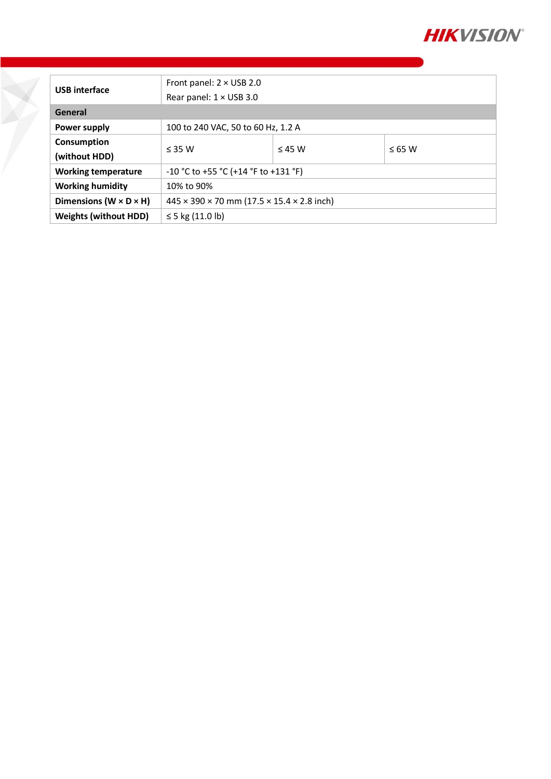

| <b>USB</b> interface                 | Front panel: $2 \times$ USB 2.0                                      |             |             |  |
|--------------------------------------|----------------------------------------------------------------------|-------------|-------------|--|
|                                      | Rear panel: $1 \times$ USB 3.0                                       |             |             |  |
| General                              |                                                                      |             |             |  |
| <b>Power supply</b>                  | 100 to 240 VAC, 50 to 60 Hz, 1.2 A                                   |             |             |  |
| Consumption                          |                                                                      |             |             |  |
| (without HDD)                        | $<$ 35 W                                                             | $\leq$ 45 W | $\leq 65$ W |  |
| <b>Working temperature</b>           | -10 °C to +55 °C (+14 °F to +131 °F)                                 |             |             |  |
| <b>Working humidity</b>              | 10% to 90%                                                           |             |             |  |
| Dimensions ( $W \times D \times H$ ) | $445 \times 390 \times 70$ mm (17.5 $\times$ 15.4 $\times$ 2.8 inch) |             |             |  |
| <b>Weights (without HDD)</b>         | ≤ 5 kg $(11.0 \text{ lb})$                                           |             |             |  |

Y